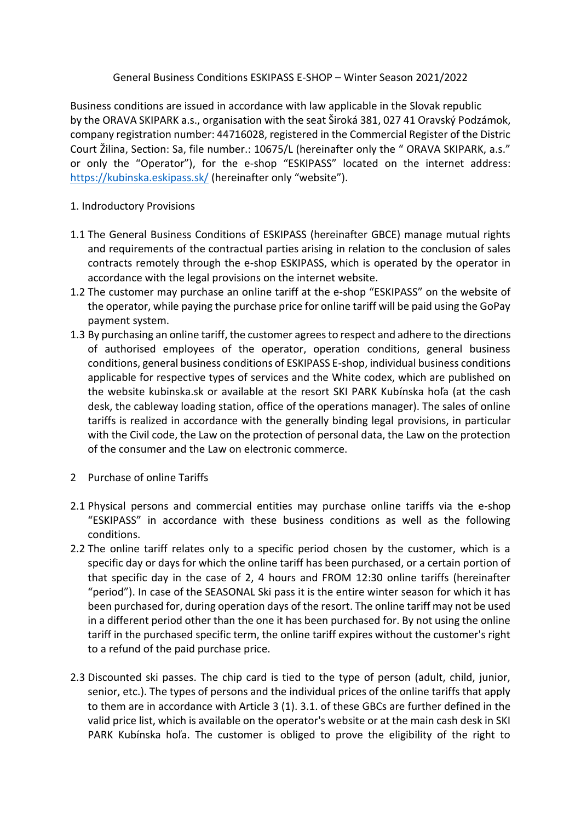### General Business Conditions ESKIPASS E-SHOP – Winter Season 2021/2022

Business conditions are issued in accordance with law applicable in the Slovak republic by the ORAVA SKIPARK a.s., organisation with the seat Široká 381, 027 41 Oravský Podzámok, company registration number: 44716028, registered in the Commercial Register of the Distric Court Žilina, Section: Sa, file number.: 10675/L (hereinafter only the " ORAVA SKIPARK, a.s." or only the "Operator"), for the e-shop "ESKIPASS" located on the internet address: <https://kubinska.eskipass.sk/> (hereinafter only "website").

### 1. Indroductory Provisions

- 1.1 The General Business Conditions of ESKIPASS (hereinafter GBCE) manage mutual rights and requirements of the contractual parties arising in relation to the conclusion of sales contracts remotely through the e-shop ESKIPASS, which is operated by the operator in accordance with the legal provisions on the internet website.
- 1.2 The customer may purchase an online tariff at the e-shop "ESKIPASS" on the website of the operator, while paying the purchase price for online tariff will be paid using the GoPay payment system.
- 1.3 By purchasing an online tariff, the customer agrees to respect and adhere to the directions of authorised employees of the operator, operation conditions, general business conditions, general business conditions of ESKIPASS E-shop, individual business conditions applicable for respective types of services and the White codex, which are published on the website kubinska.sk or available at the resort SKI PARK Kubínska hoľa (at the cash desk, the cableway loading station, office of the operations manager). The sales of online tariffs is realized in accordance with the generally binding legal provisions, in particular with the Civil code, the Law on the protection of personal data, the Law on the protection of the consumer and the Law on electronic commerce.
- 2 Purchase of online Tariffs
- 2.1 Physical persons and commercial entities may purchase online tariffs via the e-shop "ESKIPASS" in accordance with these business conditions as well as the following conditions.
- 2.2 The online tariff relates only to a specific period chosen by the customer, which is a specific day or days for which the online tariff has been purchased, or a certain portion of that specific day in the case of 2, 4 hours and FROM 12:30 online tariffs (hereinafter "period"). In case of the SEASONAL Ski pass it is the entire winter season for which it has been purchased for, during operation days of the resort. The online tariff may not be used in a different period other than the one it has been purchased for. By not using the online tariff in the purchased specific term, the online tariff expires without the customer's right to a refund of the paid purchase price.
- 2.3 Discounted ski passes. The chip card is tied to the type of person (adult, child, junior, senior, etc.). The types of persons and the individual prices of the online tariffs that apply to them are in accordance with Article 3 (1). 3.1. of these GBCs are further defined in the valid price list, which is available on the operator's website or at the main cash desk in SKI PARK Kubínska hoľa. The customer is obliged to prove the eligibility of the right to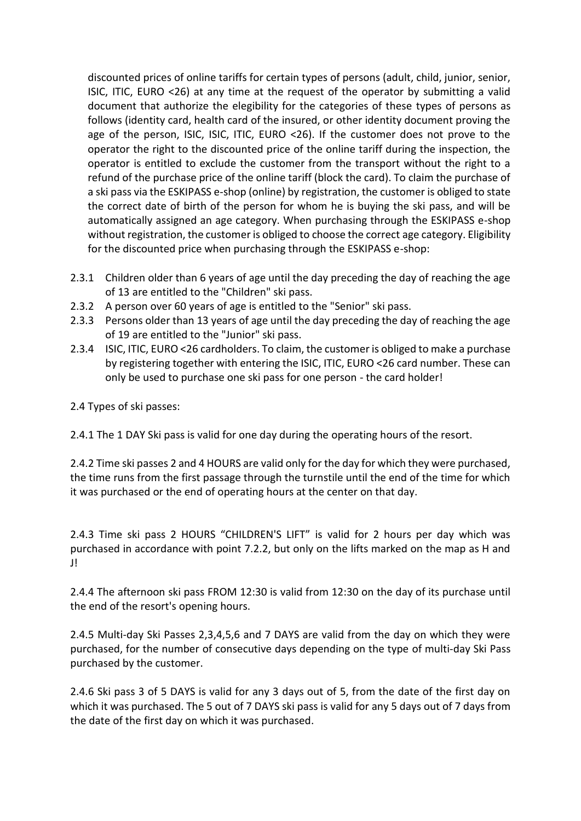discounted prices of online tariffs for certain types of persons (adult, child, junior, senior, ISIC, ITIC, EURO <26) at any time at the request of the operator by submitting a valid document that authorize the elegibility for the categories of these types of persons as follows (identity card, health card of the insured, or other identity document proving the age of the person, ISIC, ISIC, ITIC, EURO <26). If the customer does not prove to the operator the right to the discounted price of the online tariff during the inspection, the operator is entitled to exclude the customer from the transport without the right to a refund of the purchase price of the online tariff (block the card). To claim the purchase of a ski pass via the ESKIPASS e-shop (online) by registration, the customer is obliged to state the correct date of birth of the person for whom he is buying the ski pass, and will be automatically assigned an age category. When purchasing through the ESKIPASS e-shop without registration, the customer is obliged to choose the correct age category. Eligibility for the discounted price when purchasing through the ESKIPASS e-shop:

- 2.3.1 Children older than 6 years of age until the day preceding the day of reaching the age of 13 are entitled to the "Children" ski pass.
- 2.3.2 A person over 60 years of age is entitled to the "Senior" ski pass.
- 2.3.3 Persons older than 13 years of age until the day preceding the day of reaching the age of 19 are entitled to the "Junior" ski pass.
- 2.3.4 ISIC, ITIC, EURO <26 cardholders. To claim, the customer is obliged to make a purchase by registering together with entering the ISIC, ITIC, EURO <26 card number. These can only be used to purchase one ski pass for one person - the card holder!

# 2.4 Types of ski passes:

2.4.1 The 1 DAY Ski pass is valid for one day during the operating hours of the resort.

2.4.2 Time ski passes 2 and 4 HOURS are valid only for the day for which they were purchased, the time runs from the first passage through the turnstile until the end of the time for which it was purchased or the end of operating hours at the center on that day.

2.4.3 Time ski pass 2 HOURS "CHILDREN'S LIFT" is valid for 2 hours per day which was purchased in accordance with point 7.2.2, but only on the lifts marked on the map as H and J!

2.4.4 The afternoon ski pass FROM 12:30 is valid from 12:30 on the day of its purchase until the end of the resort's opening hours.

2.4.5 Multi-day Ski Passes 2,3,4,5,6 and 7 DAYS are valid from the day on which they were purchased, for the number of consecutive days depending on the type of multi-day Ski Pass purchased by the customer.

2.4.6 Ski pass 3 of 5 DAYS is valid for any 3 days out of 5, from the date of the first day on which it was purchased. The 5 out of 7 DAYS ski pass is valid for any 5 days out of 7 days from the date of the first day on which it was purchased.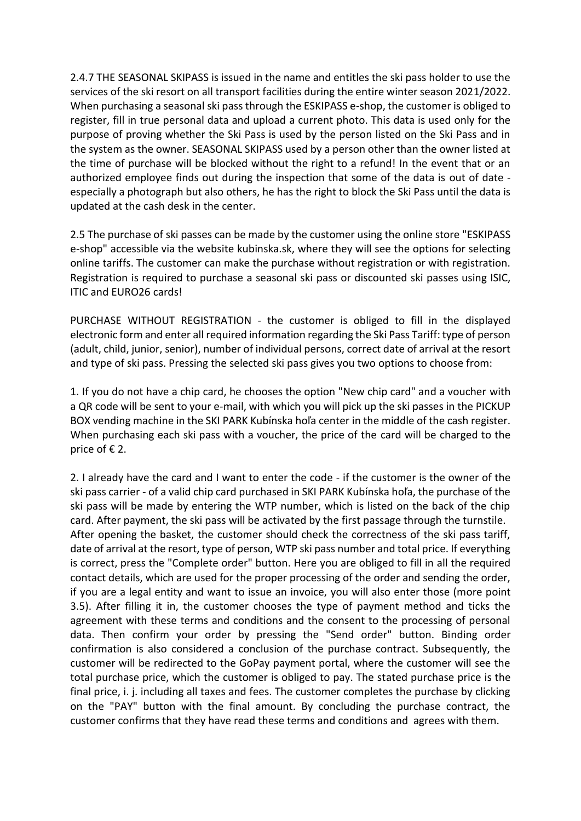2.4.7 THE SEASONAL SKIPASS is issued in the name and entitles the ski pass holder to use the services of the ski resort on all transport facilities during the entire winter season 2021/2022. When purchasing a seasonal ski pass through the ESKIPASS e-shop, the customer is obliged to register, fill in true personal data and upload a current photo. This data is used only for the purpose of proving whether the Ski Pass is used by the person listed on the Ski Pass and in the system as the owner. SEASONAL SKIPASS used by a person other than the owner listed at the time of purchase will be blocked without the right to a refund! In the event that or an authorized employee finds out during the inspection that some of the data is out of date especially a photograph but also others, he has the right to block the Ski Pass until the data is updated at the cash desk in the center.

2.5 The purchase of ski passes can be made by the customer using the online store "ESKIPASS e-shop" accessible via the website kubinska.sk, where they will see the options for selecting online tariffs. The customer can make the purchase without registration or with registration. Registration is required to purchase a seasonal ski pass or discounted ski passes using ISIC, ITIC and EURO26 cards!

PURCHASE WITHOUT REGISTRATION - the customer is obliged to fill in the displayed electronic form and enter all required information regarding the Ski Pass Tariff: type of person (adult, child, junior, senior), number of individual persons, correct date of arrival at the resort and type of ski pass. Pressing the selected ski pass gives you two options to choose from:

1. If you do not have a chip card, he chooses the option "New chip card" and a voucher with a QR code will be sent to your e-mail, with which you will pick up the ski passes in the PICKUP BOX vending machine in the SKI PARK Kubínska hoľa center in the middle of the cash register. When purchasing each ski pass with a voucher, the price of the card will be charged to the price of  $E$  2.

2. I already have the card and I want to enter the code - if the customer is the owner of the ski pass carrier - of a valid chip card purchased in SKI PARK Kubínska hoľa, the purchase of the ski pass will be made by entering the WTP number, which is listed on the back of the chip card. After payment, the ski pass will be activated by the first passage through the turnstile. After opening the basket, the customer should check the correctness of the ski pass tariff, date of arrival at the resort, type of person, WTP ski pass number and total price. If everything is correct, press the "Complete order" button. Here you are obliged to fill in all the required contact details, which are used for the proper processing of the order and sending the order, if you are a legal entity and want to issue an invoice, you will also enter those (more point 3.5). After filling it in, the customer chooses the type of payment method and ticks the agreement with these terms and conditions and the consent to the processing of personal data. Then confirm your order by pressing the "Send order" button. Binding order confirmation is also considered a conclusion of the purchase contract. Subsequently, the customer will be redirected to the GoPay payment portal, where the customer will see the total purchase price, which the customer is obliged to pay. The stated purchase price is the final price, i. j. including all taxes and fees. The customer completes the purchase by clicking on the "PAY" button with the final amount. By concluding the purchase contract, the customer confirms that they have read these terms and conditions and agrees with them.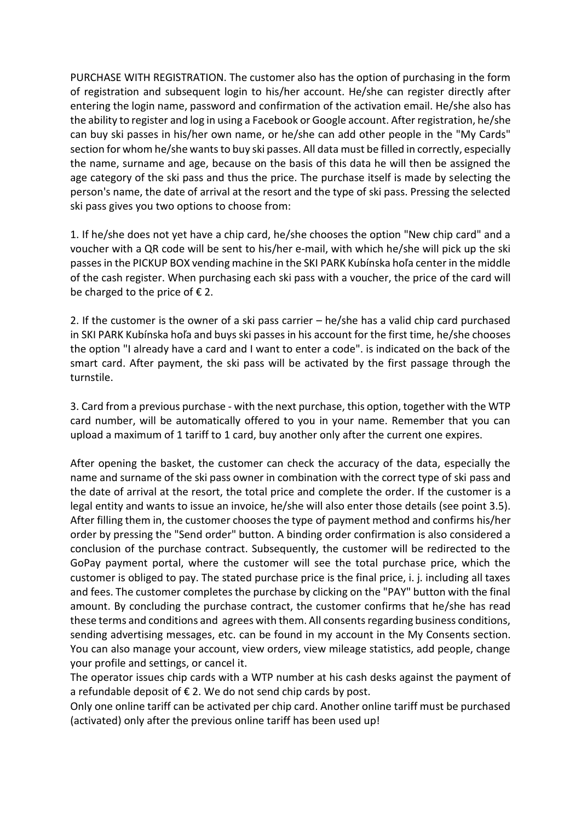PURCHASE WITH REGISTRATION. The customer also has the option of purchasing in the form of registration and subsequent login to his/her account. He/she can register directly after entering the login name, password and confirmation of the activation email. He/she also has the ability to register and log in using a Facebook or Google account. After registration, he/she can buy ski passes in his/her own name, or he/she can add other people in the "My Cards" section for whom he/she wants to buy ski passes. All data must be filled in correctly, especially the name, surname and age, because on the basis of this data he will then be assigned the age category of the ski pass and thus the price. The purchase itself is made by selecting the person's name, the date of arrival at the resort and the type of ski pass. Pressing the selected ski pass gives you two options to choose from:

1. If he/she does not yet have a chip card, he/she chooses the option "New chip card" and a voucher with a QR code will be sent to his/her e-mail, with which he/she will pick up the ski passes in the PICKUP BOX vending machine in the SKI PARK Kubínska hoľa center in the middle of the cash register. When purchasing each ski pass with a voucher, the price of the card will be charged to the price of  $\epsilon$  2.

2. If the customer is the owner of a ski pass carrier – he/she has a valid chip card purchased in SKI PARK Kubínska hoľa and buys ski passes in his account for the first time, he/she chooses the option "I already have a card and I want to enter a code". is indicated on the back of the smart card. After payment, the ski pass will be activated by the first passage through the turnstile.

3. Card from a previous purchase - with the next purchase, this option, together with the WTP card number, will be automatically offered to you in your name. Remember that you can upload a maximum of 1 tariff to 1 card, buy another only after the current one expires.

After opening the basket, the customer can check the accuracy of the data, especially the name and surname of the ski pass owner in combination with the correct type of ski pass and the date of arrival at the resort, the total price and complete the order. If the customer is a legal entity and wants to issue an invoice, he/she will also enter those details (see point 3.5). After filling them in, the customer chooses the type of payment method and confirms his/her order by pressing the "Send order" button. A binding order confirmation is also considered a conclusion of the purchase contract. Subsequently, the customer will be redirected to the GoPay payment portal, where the customer will see the total purchase price, which the customer is obliged to pay. The stated purchase price is the final price, i. j. including all taxes and fees. The customer completes the purchase by clicking on the "PAY" button with the final amount. By concluding the purchase contract, the customer confirms that he/she has read these terms and conditions and agrees with them. All consents regarding business conditions, sending advertising messages, etc. can be found in my account in the My Consents section. You can also manage your account, view orders, view mileage statistics, add people, change your profile and settings, or cancel it.

The operator issues chip cards with a WTP number at his cash desks against the payment of a refundable deposit of  $\epsilon$  2. We do not send chip cards by post.

Only one online tariff can be activated per chip card. Another online tariff must be purchased (activated) only after the previous online tariff has been used up!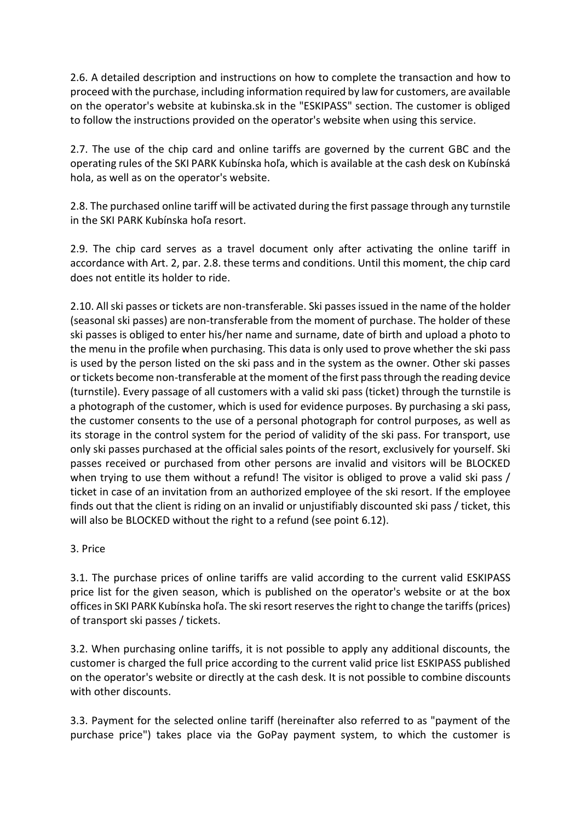2.6. A detailed description and instructions on how to complete the transaction and how to proceed with the purchase, including information required by law for customers, are available on the operator's website at kubinska.sk in the "ESKIPASS" section. The customer is obliged to follow the instructions provided on the operator's website when using this service.

2.7. The use of the chip card and online tariffs are governed by the current GBC and the operating rules of the SKI PARK Kubínska hoľa, which is available at the cash desk on Kubínská hola, as well as on the operator's website.

2.8. The purchased online tariff will be activated during the first passage through any turnstile in the SKI PARK Kubínska hoľa resort.

2.9. The chip card serves as a travel document only after activating the online tariff in accordance with Art. 2, par. 2.8. these terms and conditions. Until this moment, the chip card does not entitle its holder to ride.

2.10. All ski passes or tickets are non-transferable. Ski passes issued in the name of the holder (seasonal ski passes) are non-transferable from the moment of purchase. The holder of these ski passes is obliged to enter his/her name and surname, date of birth and upload a photo to the menu in the profile when purchasing. This data is only used to prove whether the ski pass is used by the person listed on the ski pass and in the system as the owner. Other ski passes or tickets become non-transferable at the moment of the first pass through the reading device (turnstile). Every passage of all customers with a valid ski pass (ticket) through the turnstile is a photograph of the customer, which is used for evidence purposes. By purchasing a ski pass, the customer consents to the use of a personal photograph for control purposes, as well as its storage in the control system for the period of validity of the ski pass. For transport, use only ski passes purchased at the official sales points of the resort, exclusively for yourself. Ski passes received or purchased from other persons are invalid and visitors will be BLOCKED when trying to use them without a refund! The visitor is obliged to prove a valid ski pass / ticket in case of an invitation from an authorized employee of the ski resort. If the employee finds out that the client is riding on an invalid or unjustifiably discounted ski pass / ticket, this will also be BLOCKED without the right to a refund (see point 6.12).

# 3. Price

3.1. The purchase prices of online tariffs are valid according to the current valid ESKIPASS price list for the given season, which is published on the operator's website or at the box offices in SKI PARK Kubínska hoľa. The ski resort reserves the right to change the tariffs (prices) of transport ski passes / tickets.

3.2. When purchasing online tariffs, it is not possible to apply any additional discounts, the customer is charged the full price according to the current valid price list ESKIPASS published on the operator's website or directly at the cash desk. It is not possible to combine discounts with other discounts.

3.3. Payment for the selected online tariff (hereinafter also referred to as "payment of the purchase price") takes place via the GoPay payment system, to which the customer is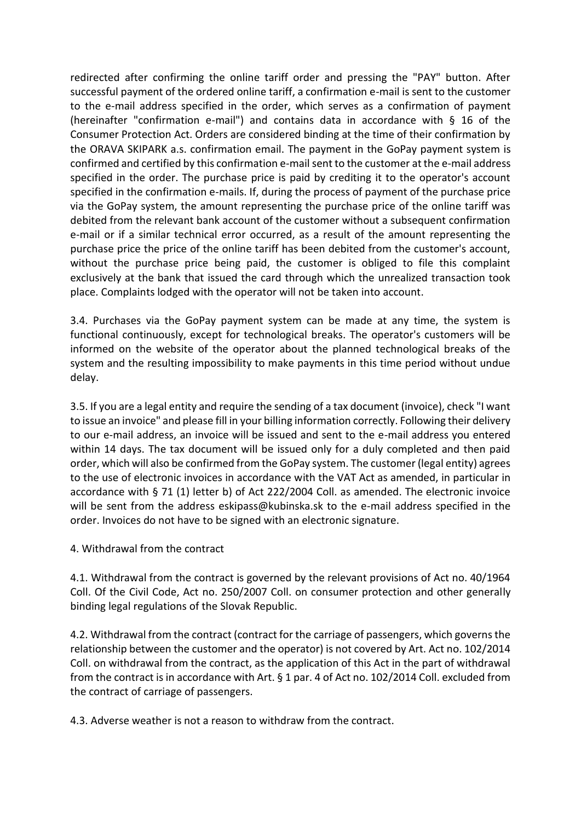redirected after confirming the online tariff order and pressing the "PAY" button. After successful payment of the ordered online tariff, a confirmation e-mail is sent to the customer to the e-mail address specified in the order, which serves as a confirmation of payment (hereinafter "confirmation e-mail") and contains data in accordance with § 16 of the Consumer Protection Act. Orders are considered binding at the time of their confirmation by the ORAVA SKIPARK a.s. confirmation email. The payment in the GoPay payment system is confirmed and certified by this confirmation e-mail sent to the customer at the e-mail address specified in the order. The purchase price is paid by crediting it to the operator's account specified in the confirmation e-mails. If, during the process of payment of the purchase price via the GoPay system, the amount representing the purchase price of the online tariff was debited from the relevant bank account of the customer without a subsequent confirmation e-mail or if a similar technical error occurred, as a result of the amount representing the purchase price the price of the online tariff has been debited from the customer's account, without the purchase price being paid, the customer is obliged to file this complaint exclusively at the bank that issued the card through which the unrealized transaction took place. Complaints lodged with the operator will not be taken into account.

3.4. Purchases via the GoPay payment system can be made at any time, the system is functional continuously, except for technological breaks. The operator's customers will be informed on the website of the operator about the planned technological breaks of the system and the resulting impossibility to make payments in this time period without undue delay.

3.5. If you are a legal entity and require the sending of a tax document (invoice), check "I want to issue an invoice" and please fill in your billing information correctly. Following their delivery to our e-mail address, an invoice will be issued and sent to the e-mail address you entered within 14 days. The tax document will be issued only for a duly completed and then paid order, which will also be confirmed from the GoPay system. The customer (legal entity) agrees to the use of electronic invoices in accordance with the VAT Act as amended, in particular in accordance with § 71 (1) letter b) of Act 222/2004 Coll. as amended. The electronic invoice will be sent from the address eskipass@kubinska.sk to the e-mail address specified in the order. Invoices do not have to be signed with an electronic signature.

4. Withdrawal from the contract

4.1. Withdrawal from the contract is governed by the relevant provisions of Act no. 40/1964 Coll. Of the Civil Code, Act no. 250/2007 Coll. on consumer protection and other generally binding legal regulations of the Slovak Republic.

4.2. Withdrawal from the contract (contract for the carriage of passengers, which governs the relationship between the customer and the operator) is not covered by Art. Act no. 102/2014 Coll. on withdrawal from the contract, as the application of this Act in the part of withdrawal from the contract is in accordance with Art. § 1 par. 4 of Act no. 102/2014 Coll. excluded from the contract of carriage of passengers.

4.3. Adverse weather is not a reason to withdraw from the contract.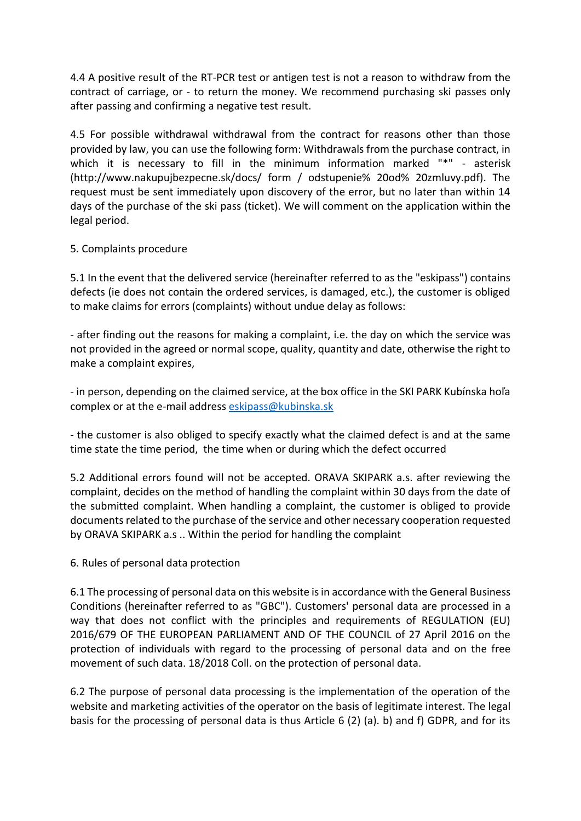4.4 A positive result of the RT-PCR test or antigen test is not a reason to withdraw from the contract of carriage, or - to return the money. We recommend purchasing ski passes only after passing and confirming a negative test result.

4.5 For possible withdrawal withdrawal from the contract for reasons other than those provided by law, you can use the following form: Withdrawals from the purchase contract, in which it is necessary to fill in the minimum information marked "\*" - asterisk (http://www.nakupujbezpecne.sk/docs/ form / odstupenie% 20od% 20zmluvy.pdf). The request must be sent immediately upon discovery of the error, but no later than within 14 days of the purchase of the ski pass (ticket). We will comment on the application within the legal period.

### 5. Complaints procedure

5.1 In the event that the delivered service (hereinafter referred to as the "eskipass") contains defects (ie does not contain the ordered services, is damaged, etc.), the customer is obliged to make claims for errors (complaints) without undue delay as follows:

- after finding out the reasons for making a complaint, i.e. the day on which the service was not provided in the agreed or normal scope, quality, quantity and date, otherwise the right to make a complaint expires,

- in person, depending on the claimed service, at the box office in the SKI PARK Kubínska hoľa complex or at the e-mail address [eskipass@kubinska.sk](mailto:eskipass@kubinska.sk)

- the customer is also obliged to specify exactly what the claimed defect is and at the same time state the time period, the time when or during which the defect occurred

5.2 Additional errors found will not be accepted. ORAVA SKIPARK a.s. after reviewing the complaint, decides on the method of handling the complaint within 30 days from the date of the submitted complaint. When handling a complaint, the customer is obliged to provide documents related to the purchase of the service and other necessary cooperation requested by ORAVA SKIPARK a.s .. Within the period for handling the complaint

6. Rules of personal data protection

6.1 The processing of personal data on this website is in accordance with the General Business Conditions (hereinafter referred to as "GBC"). Customers' personal data are processed in a way that does not conflict with the principles and requirements of REGULATION (EU) 2016/679 OF THE EUROPEAN PARLIAMENT AND OF THE COUNCIL of 27 April 2016 on the protection of individuals with regard to the processing of personal data and on the free movement of such data. 18/2018 Coll. on the protection of personal data.

6.2 The purpose of personal data processing is the implementation of the operation of the website and marketing activities of the operator on the basis of legitimate interest. The legal basis for the processing of personal data is thus Article 6 (2) (a). b) and f) GDPR, and for its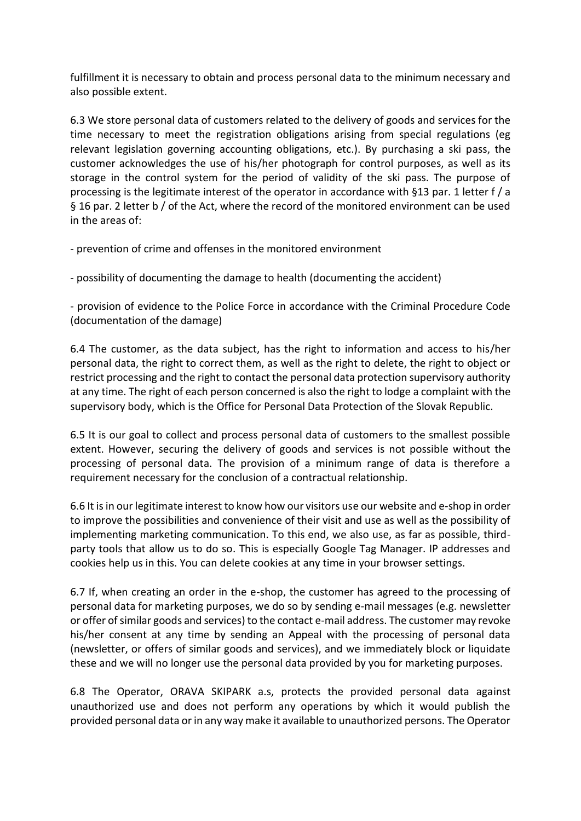fulfillment it is necessary to obtain and process personal data to the minimum necessary and also possible extent.

6.3 We store personal data of customers related to the delivery of goods and services for the time necessary to meet the registration obligations arising from special regulations (eg relevant legislation governing accounting obligations, etc.). By purchasing a ski pass, the customer acknowledges the use of his/her photograph for control purposes, as well as its storage in the control system for the period of validity of the ski pass. The purpose of processing is the legitimate interest of the operator in accordance with §13 par. 1 letter f / a § 16 par. 2 letter b / of the Act, where the record of the monitored environment can be used in the areas of:

- prevention of crime and offenses in the monitored environment

- possibility of documenting the damage to health (documenting the accident)

- provision of evidence to the Police Force in accordance with the Criminal Procedure Code (documentation of the damage)

6.4 The customer, as the data subject, has the right to information and access to his/her personal data, the right to correct them, as well as the right to delete, the right to object or restrict processing and the right to contact the personal data protection supervisory authority at any time. The right of each person concerned is also the right to lodge a complaint with the supervisory body, which is the Office for Personal Data Protection of the Slovak Republic.

6.5 It is our goal to collect and process personal data of customers to the smallest possible extent. However, securing the delivery of goods and services is not possible without the processing of personal data. The provision of a minimum range of data is therefore a requirement necessary for the conclusion of a contractual relationship.

6.6 It is in our legitimate interest to know how our visitors use our website and e-shop in order to improve the possibilities and convenience of their visit and use as well as the possibility of implementing marketing communication. To this end, we also use, as far as possible, thirdparty tools that allow us to do so. This is especially Google Tag Manager. IP addresses and cookies help us in this. You can delete cookies at any time in your browser settings.

6.7 If, when creating an order in the e-shop, the customer has agreed to the processing of personal data for marketing purposes, we do so by sending e-mail messages (e.g. newsletter or offer of similar goods and services) to the contact e-mail address. The customer may revoke his/her consent at any time by sending an Appeal with the processing of personal data (newsletter, or offers of similar goods and services), and we immediately block or liquidate these and we will no longer use the personal data provided by you for marketing purposes.

6.8 The Operator, ORAVA SKIPARK a.s, protects the provided personal data against unauthorized use and does not perform any operations by which it would publish the provided personal data or in any way make it available to unauthorized persons. The Operator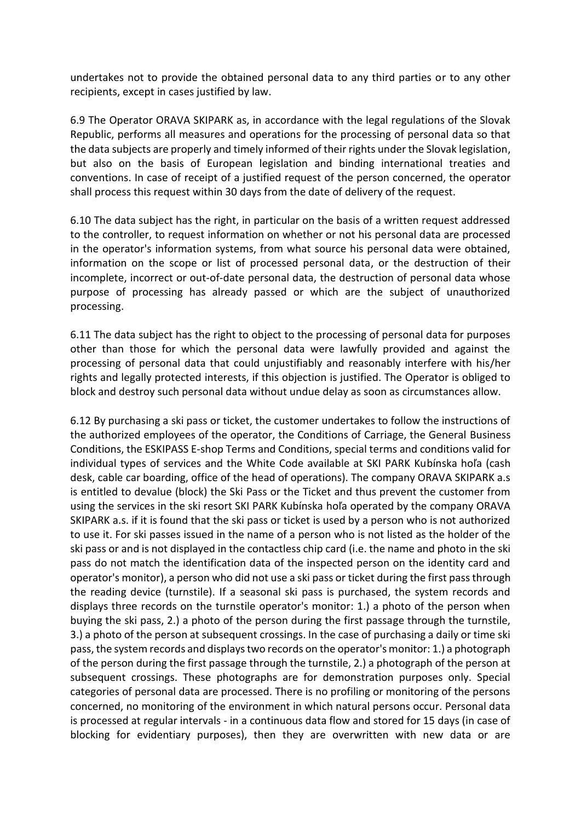undertakes not to provide the obtained personal data to any third parties or to any other recipients, except in cases justified by law.

6.9 The Operator ORAVA SKIPARK as, in accordance with the legal regulations of the Slovak Republic, performs all measures and operations for the processing of personal data so that the data subjects are properly and timely informed of their rights under the Slovak legislation, but also on the basis of European legislation and binding international treaties and conventions. In case of receipt of a justified request of the person concerned, the operator shall process this request within 30 days from the date of delivery of the request.

6.10 The data subject has the right, in particular on the basis of a written request addressed to the controller, to request information on whether or not his personal data are processed in the operator's information systems, from what source his personal data were obtained, information on the scope or list of processed personal data, or the destruction of their incomplete, incorrect or out-of-date personal data, the destruction of personal data whose purpose of processing has already passed or which are the subject of unauthorized processing.

6.11 The data subject has the right to object to the processing of personal data for purposes other than those for which the personal data were lawfully provided and against the processing of personal data that could unjustifiably and reasonably interfere with his/her rights and legally protected interests, if this objection is justified. The Operator is obliged to block and destroy such personal data without undue delay as soon as circumstances allow.

6.12 By purchasing a ski pass or ticket, the customer undertakes to follow the instructions of the authorized employees of the operator, the Conditions of Carriage, the General Business Conditions, the ESKIPASS E-shop Terms and Conditions, special terms and conditions valid for individual types of services and the White Code available at SKI PARK Kubínska hoľa (cash desk, cable car boarding, office of the head of operations). The company ORAVA SKIPARK a.s is entitled to devalue (block) the Ski Pass or the Ticket and thus prevent the customer from using the services in the ski resort SKI PARK Kubínska hoľa operated by the company ORAVA SKIPARK a.s. if it is found that the ski pass or ticket is used by a person who is not authorized to use it. For ski passes issued in the name of a person who is not listed as the holder of the ski pass or and is not displayed in the contactless chip card (i.e. the name and photo in the ski pass do not match the identification data of the inspected person on the identity card and operator's monitor), a person who did not use a ski pass or ticket during the first pass through the reading device (turnstile). If a seasonal ski pass is purchased, the system records and displays three records on the turnstile operator's monitor: 1.) a photo of the person when buying the ski pass, 2.) a photo of the person during the first passage through the turnstile, 3.) a photo of the person at subsequent crossings. In the case of purchasing a daily or time ski pass, the system records and displays two records on the operator's monitor: 1.) a photograph of the person during the first passage through the turnstile, 2.) a photograph of the person at subsequent crossings. These photographs are for demonstration purposes only. Special categories of personal data are processed. There is no profiling or monitoring of the persons concerned, no monitoring of the environment in which natural persons occur. Personal data is processed at regular intervals - in a continuous data flow and stored for 15 days (in case of blocking for evidentiary purposes), then they are overwritten with new data or are